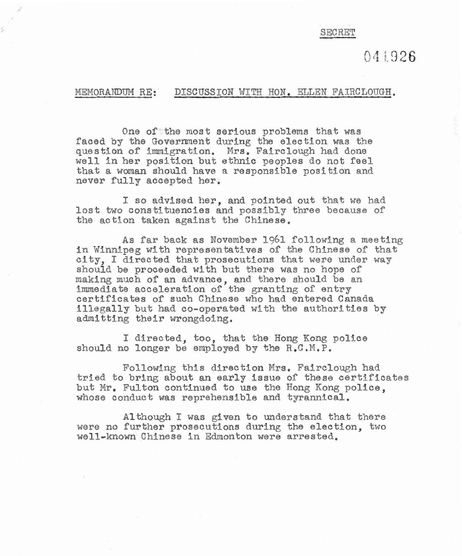## SECRET

041926

## MEMORANDUM RE: DISCUSSION WITH HON. ELLEN FAIRCLOUGH.

One of the most serious problems that was faced by the Government during the election was the question of immigration. Mrs. Fairclough had done well in her position but ethnic peoples do not feel that a woman should have a responsible position and never fully accepted her,

I so advised her, and pointed out that we had lost two constituencies and possibly three because of the action taken against the Chinese.

As far back as November 1961 following a meeting in Winnlpeg with representatives of the Chinese of that city, I directed that prosecutions that were under way should be proceeded with but there was no hope of making much of **an** advance, and there should be an immediate acceleration of the granting of entry certificates of such Chinese who had entered Canada illegally but had co-operated with the authorities by admitting their wrongdoing.

I directed, too, that the Hong Kong police should no longer be employed by the R.C.M,P,

Following this direction Mrs. Fairclough had tried to bring about an early issue of these certificates but Mr, Fulton continued to use the Hong Kong police, whose conduct was reprehensible and tyrannical,

Although I was given to understand that there were no further prosecutions during the election, two well-known Chinese in Edmonton were arrested,